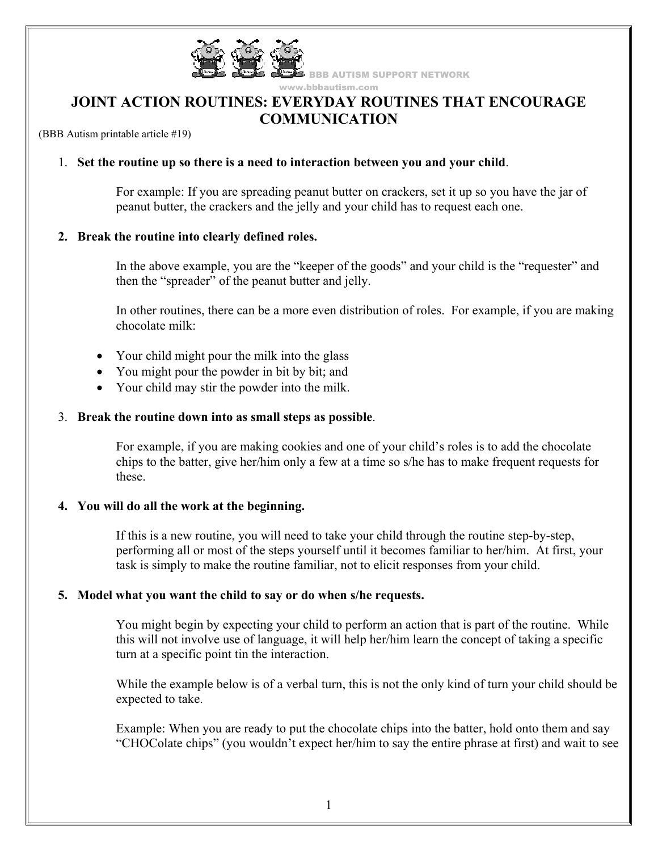

www.bbbautism.com

**BBB AUTISM SUPPORT NETWORK** 

# **JOINT ACTION ROUTINES: EVERYDAY ROUTINES THAT ENCOURAGE COMMUNICATION**

(BBB Autism printable article #19)

### 1. **Set the routine up so there is a need to interaction between you and your child**.

For example: If you are spreading peanut butter on crackers, set it up so you have the jar of peanut butter, the crackers and the jelly and your child has to request each one.

#### **2. Break the routine into clearly defined roles.**

In the above example, you are the "keeper of the goods" and your child is the "requester" and then the "spreader" of the peanut butter and jelly.

In other routines, there can be a more even distribution of roles. For example, if you are making chocolate milk:

- Your child might pour the milk into the glass
- You might pour the powder in bit by bit; and
- Your child may stir the powder into the milk.

#### 3. **Break the routine down into as small steps as possible**.

For example, if you are making cookies and one of your child's roles is to add the chocolate chips to the batter, give her/him only a few at a time so s/he has to make frequent requests for these.

#### **4. You will do all the work at the beginning.**

If this is a new routine, you will need to take your child through the routine step-by-step, performing all or most of the steps yourself until it becomes familiar to her/him. At first, your task is simply to make the routine familiar, not to elicit responses from your child.

#### **5. Model what you want the child to say or do when s/he requests.**

You might begin by expecting your child to perform an action that is part of the routine. While this will not involve use of language, it will help her/him learn the concept of taking a specific turn at a specific point tin the interaction.

While the example below is of a verbal turn, this is not the only kind of turn your child should be expected to take.

Example: When you are ready to put the chocolate chips into the batter, hold onto them and say "CHOColate chips" (you wouldn't expect her/him to say the entire phrase at first) and wait to see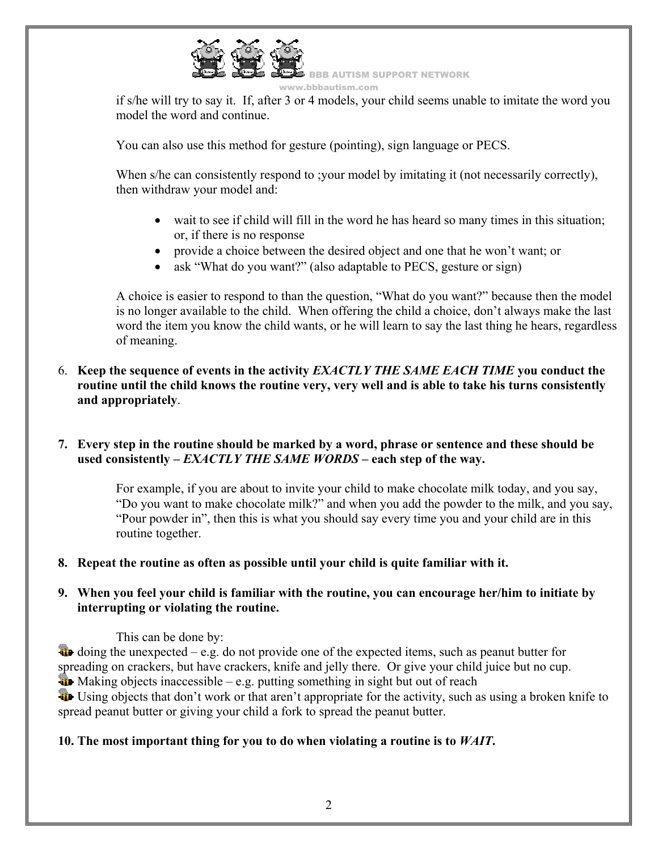

w.bbbautism.com

if s/he will try to say it. If, after 3 or 4 models, your child seems unable to imitate the word you model the word and continue.

You can also use this method for gesture (pointing), sign language or PECS.

When s/he can consistently respond to ; your model by imitating it (not necessarily correctly), then withdraw your model and:

- wait to see if child will fill in the word he has heard so many times in this situation; or, if there is no response
- provide a choice between the desired object and one that he won't want; or
- ask "What do you want?" (also adaptable to PECS, gesture or sign)

A choice is easier to respond to than the question, "What do you want?" because then the model is no longer available to the child. When offering the child a choice, don't always make the last word the item you know the child wants, or he will learn to say the last thing he hears, regardless of meaning.

6. **Keep the sequence of events in the activity** *EXACTLY THE SAME EACH TIME* **you conduct the routine until the child knows the routine very, very well and is able to take his turns consistently and appropriately**.

# **7. Every step in the routine should be marked by a word, phrase or sentence and these should be used consistently –** *EXACTLY THE SAME WORDS* **– each step of the way.**

For example, if you are about to invite your child to make chocolate milk today, and you say, "Do you want to make chocolate milk?" and when you add the powder to the milk, and you say, "Pour powder in", then this is what you should say every time you and your child are in this routine together.

### **8. Repeat the routine as often as possible until your child is quite familiar with it.**

# **9. When you feel your child is familiar with the routine, you can encourage her/him to initiate by interrupting or violating the routine.**

### This can be done by:

 $\ddot{\bullet}$  doing the unexpected – e.g. do not provide one of the expected items, such as peanut butter for spreading on crackers, but have crackers, knife and jelly there. Or give your child juice but no cup.

 $\bullet$  Making objects inaccessible – e.g. putting something in sight but out of reach

 Using objects that don't work or that aren't appropriate for the activity, such as using a broken knife to spread peanut butter or giving your child a fork to spread the peanut butter.

# **10. The most important thing for you to do when violating a routine is to** *WAIT***.**